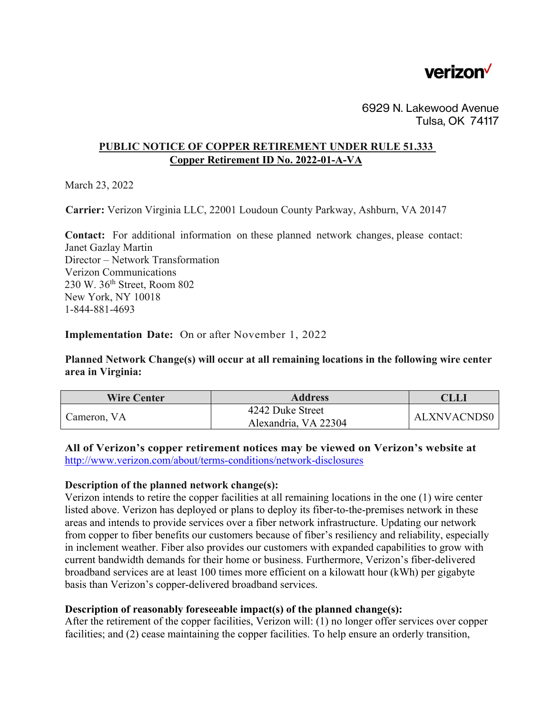

6929 N. Lakewood Avenue Tulsa, OK 74117

## **PUBLIC NOTICE OF COPPER RETIREMENT UNDER RULE 51.333 Copper Retirement ID No. 2022-01-A-VA**

March 23, 2022

**Carrier:** Verizon Virginia LLC, 22001 Loudoun County Parkway, Ashburn, VA 20147

 **Contact:** For additional information on these planned network changes, please contact: Janet Gazlay Martin Director – Network Transformation Verizon Communications 230 W. 36th Street, Room 802 New York, NY 10018 1-844-881-4693

**Implementation Date:** On or after November 1, 2022

**Planned Network Change(s) will occur at all remaining locations in the following wire center area in Virginia:** 

| <b>Wire Center</b> | <b>Address</b>                           | <b>CLLI</b>        |
|--------------------|------------------------------------------|--------------------|
| Cameron, VA        | 4242 Duke Street<br>Alexandria, VA 22304 | <b>ALXNVACNDS0</b> |

**All of Verizon's copper retirement notices may be viewed on Verizon's website at**  <http://www.verizon.com/about/terms-conditions/network-disclosures>

## **Description of the planned network change(s):**

Verizon intends to retire the copper facilities at all remaining locations in the one (1) wire center listed above. Verizon has deployed or plans to deploy its fiber-to-the-premises network in these areas and intends to provide services over a fiber network infrastructure. Updating our network from copper to fiber benefits our customers because of fiber's resiliency and reliability, especially in inclement weather. Fiber also provides our customers with expanded capabilities to grow with current bandwidth demands for their home or business. Furthermore, Verizon's fiber-delivered broadband services are at least 100 times more efficient on a kilowatt hour (kWh) per gigabyte basis than Verizon's copper-delivered broadband services.

## **Description of reasonably foreseeable impact(s) of the planned change(s):**

After the retirement of the copper facilities, Verizon will: (1) no longer offer services over copper facilities; and (2) cease maintaining the copper facilities. To help ensure an orderly transition,